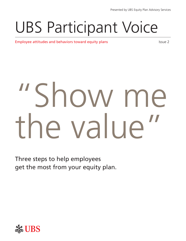# UBS Participant Voice

**Employee attitudes and behaviors toward equity plans** Integration and Issue 2

# "Show me the value

Three steps to help employees get the most from your equity plan.

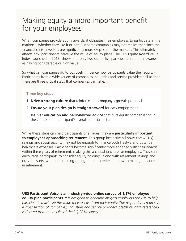# Making equity a more important benefit for your employees

When companies provide equity awards, it obligates their employees to participate in the markets—whether they like it or not. But some companies may not realize that since the financial crisis, investors are significantly more skeptical of the markets. This ultimately affects how participants perceive the value of equity plans. The UBS Equity Award Value Index, launched in 2013, shows that only two out of five participants rate their awards as having considerable or high value.

So what can companies do to positively influence how participants value their equity? Participants from a wide variety of companies, countries and service providers tell us that there are three critical steps that companies can take.

#### **Three key steps**

- **1. Drive a strong culture** that reinforces the company's growth potential
- **2. Ensure your plan design is straightforward** for easy engagement
- **3. Deliver education and personalized advice** that puts equity compensation in the context of a participant's overall financial picture

While these steps can help participants of all ages, they are **particularly important to employees approaching retirement**. This group instinctively knows that 401(k) savings and social security may not be enough to finance both lifestyle and potential healthcare expenses. Participants become significantly more engaged with their awards within three years of retirement, making this a critical juncture for employers. They can encourage participants to consider equity holdings, along with retirement savings and outside assets, when determining the right time to retire and how to manage finances in retirement.

**UBS Participant Voice is an industry-wide online survey of 1,176 employee equity plan participants.** *It is designed to generate insights employers can use to help participants maximize the value they receive from their equity. The respondents represent a cross section of companies, industries and service providers. Statistical data referenced is derived from the results of the 3Q 2014 survey.*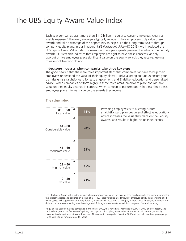# The UBS Equity Award Value Index

Each year companies grant more than \$110 billion in equity to certain employees, clearly a sizable expense.\* However, employers typically wonder if their employees truly value these awards and take advantage of the opportunity to help build their long-term wealth through company equity plans. In our inaugural *UBS Participant Voice* (4Q 2013), we introduced the UBS Equity Award Value Index for measuring how participants perceive the value of their equity awards. Our research indicates that employers are right to have these concerns, as only two out of five employees place significant value on the equity awards they receive, leaving three out of five who do not.

#### **Index score increases when companies take three key steps**

The good news is that there are three important steps that companies can take to help their employees understand the value of their equity plans: 1) drive a strong culture, 2) ensure your plan design is straightforward for easy engagement, and 3) deliver education and personalized advice. When companies perform highly in these three areas, employees place considerable value on their equity awards. In contrast, when companies perform poorly in these three areas, employees place minimal value on the awards they receive.

#### **The value index**



Providing employees with a strong culture, straightforward plan design and effective education/ advice increases the value they place on their equity awards, and results in higher Value Index scores.

The UBS Equity Award Value Index measures how participants perceive the value of their equity awards. The Index incorporates five critical variables and operates on a scale of 0 – 100. These variables are: 1) views of employee equity plans: ways to build wealth, paycheck supplement or lottery ticket; 2) importance in accepting current job; 3) importance for staying at current job; 4) importance in accumulating wealth/savings; and 5) integration of equity awards into long-term financial planning.

\* Equilar, Inc. Based on 2,885 companies in the Russell 3000, that have fiscal year-ends of July 31, 2012 or more recent, and valued the grant-date fair value of options, stock appreciation rights, restricted stock and stock unit awards granted by companies during the most recent fiscal year. All information was pulled from the 10-K and was calculated using companydisclosed figures for grant-date fair value.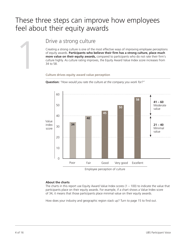# These three steps can improve how employees feel about their equity awards



Drive a strong culture<br>
Creating a strong culture is one of the n<br>
of equity awards. **Participants who be<br>
more value on their equity awards,**<br>
culture highly. As culture rating improve<br>
34 to 58.<br>
Culture drives equity aw Creating a strong culture is one of the most effective ways of improving employee perceptions of equity awards. **Participants who believe their firm has a strong culture, place much more value on their equity awards,** compared to participants who do not rate their firm's culture highly. As culture rating improves, the Equity Award Value Index score increases from 34 to 58.

**Culture drives equity award value perception**



**Question:** *"How would you rate the culture at the company you work for?"*

Employee perception of culture

#### **About the charts**

The charts in this report use Equity Award Value Index scores (1 – 100) to indicate the value that participants place on their equity awards. For example, if a chart shows a Value Index score of 34, it means that those participants place minimal value on their equity awards.

How does your industry and geographic region stack up? Turn to page 15 to find out.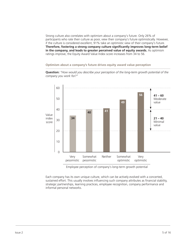Strong culture also correlates with optimism about a company's future. Only 26% of participants who rate their culture as poor, view their company's future optimistically. However, if the culture is considered excellent, 91% take an optimistic view of their company's future. **Therefore, fostering a strong company culture significantly improves long-term belief in the company, and leads to greater perceived value of equity awards.** As optimism ratings improve, the Equity Award Value Index score increases from 34 to 56.

**Optimism about a company's future drives equity award value perception**



**Question:** *"How would you describe your perception of the long-term growth potential of the company you work for?"* 

Employee perception of company's long-term growth potential

Each company has its own unique culture, which can be actively evolved with a concerted, sustained effort. This usually involves influencing such company attributes as financial stability, strategic partnerships, learning practices, employee recognition, company performance and informal personal networks.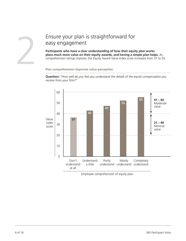#### Ensure your plan is straightforward for easy engagement

**Participants who have a clear understanding of how their equity plan works place much more value on their equity awards, and having a simple plan helps.** As comprehension ratings improve, the Equity Award Value Index score increases from 37 to 55.

#### **Plan comprehension improves value perception**

**Question:** *"How well do you feel you understand the details of the equity compensation you receive from your firm?"*



Employee comprehension of equity plan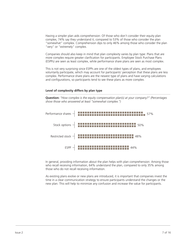Having a simpler plan aids comprehension: Of those who don't consider their equity plan complex, 74% say they understand it, compared to 53% of those who consider the plan "somewhat" complex. Comprehension dips to only 46% among those who consider the plan "very" or "extremely" complex.

Companies should also keep in mind that plan complexity varies by plan type: Plans that are more complex require greater clarification for participants. Employee Stock Purchase Plans (ESPPs) are seen as least complex, while performance share plans are seen as most complex.

This is not very surprising since ESPPs are one of the oldest types of plans, and employees voluntarily participate, which may account for participants' perception that these plans are less complex. Performance share plans are the newest type of plans and have varying calculations and configurations, so participants tend to see these plans as more complex.

#### **Level of complexity differs by plan type**

**Question:** *"How complex is the equity compensation plan(s) at your company?" (Percentages show those who answered at least "somewhat complex.")*



In general, providing information about the plan helps with plan comprehension: Among those who recall receiving information, 64% understand the plan, compared to only 35% among those who do not recall receiving information.

As existing plans evolve or new plans are introduced, it is important that companies invest the time in a clear communication strategy to ensure participants understand the changes or the new plan. This will help to minimize any confusion and increase the value for participants.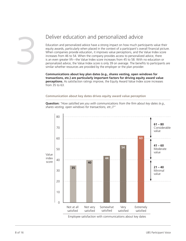### Deliver education and personalized advice

Education and personalized advice have a strong impact on how much participants value their equity awards, particularly when placed in the context of a participant's overall financial picture. When companies provide education, it improves value perceptions, and the Value Index score increases from 46 to 54. When the company provides access to personalized advice, there is an even greater lift—the Value Index score increases from 45 to 58. With no education or personalized advice, the Value Index score is only 39 on average. The benefits to participants are similar whether resources are provided by the employer or the plan provider.

**Communications about key plan dates (e.g., shares vesting, open windows for transactions, etc.) are particularly important factors for driving equity award value perceptions.** As satisfaction ratings improve, the Equity Award Value Index score increases from 35 to 63.

**Communication about key dates drives equity award value perception**

**Question:** *"How satisfied are you with communications from the firm about key dates (e.g., shares vesting, open windows for transactions, etc.)?"* 



Employee satisfaction with communications about key dates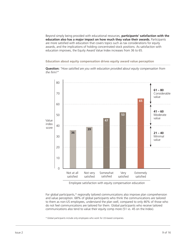Beyond simply being provided with educational resources, **participants' satisfaction with the education also has a major impact on how much they value their awards.** Participants are more satisfied with education that covers topics such as tax considerations for equity awards, and the implications of holding concentrated stock positions. As satisfaction with education improves, the Equity Award Value Index increases from 36 to 65.

**Education about equity compensation drives equity award value perception**

**Question:** *"How satisfied are you with education provided about equity compensation from the firm?"*



Employee satisfaction with equity compensation education

For global participants,\* regionally tailored communications also improve plan comprehension and value perception. 68% of global participants who think the communications are tailored to them as non-US employees, understand the plan well, compared to only 46% of those who do not feel communications are tailored for them. Global participants who receive tailored communications also tend to value their equity comp more (51 vs. 45 on the Index).

\* Global participants include only employees who work for US-based companies.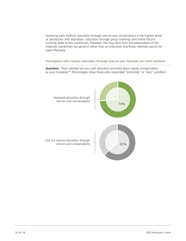Assessing each method, education through one-on-one conversations is the highest driver of satisfaction with education. Education through group meetings and online forums currently leads to less satisfaction. However, this may stem from the presentation of the materials (sometimes too generic) rather than an indication that these methods cannot be used effectively.

**Participants who receive education through one-on-one channels are most satisfied** 

**Question:** *"How satisfied are you with education provided about equity compensation by your company?" (Percentages show those who responded "extremely" or "very" satisfied.)*

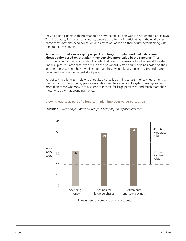Providing participants with information on how the equity plan works is not enough on its own. That is because, for participants, equity awards are a form of participating in the markets, so participants may also need education and advice on managing their equity awards along with their other investments.

**When participants view equity as part of a long-term plan and make decisions about equity based on that plan, they perceive more value in their awards.** Thus, communication and education should contextualize equity awards within the overall long-term financial picture. Participants who make decisions about vested equity holdings based on their long-term plans, value their awards more than those who take a short-term view and make decisions based on the current stock price.

Part of taking a long-term view with equity awards is planning to use it for savings rather than spending it. Not surprisingly, participants who view their equity as long-term savings value it more than those who view it as a source of income for large purchases, and much more than those who view it as spending money.

**Viewing equity as part of a long-term plan improves value perception**



**Question:** *"What do you primarily use your company equity accounts for?"*

Primary use for company equity accounts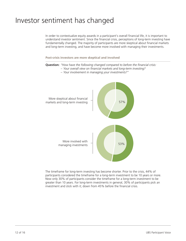# Investor sentiment has changed

In order to contextualize equity awards in a participant's overall financial life, it is important to understand investor sentiment. Since the financial crisis, perceptions of long-term investing have fundamentally changed. The majority of participants are more skeptical about financial markets and long-term investing, and have become more involved with managing their investments.

**Post-crisis investors are more skeptical and involved**

**Question:** *"How have the following changed compared to before the financial crisis:* 

- *– Your overall view on financial markets and long-term investing?* 
	- *– Your involvement in managing your investments?"*



The timeframe for long-term investing has become shorter. Prior to the crisis, 44% of participants considered the timeframe for a long-term investment to be 10 years or more. Now only 30% of participants consider the timeframe for a long-term investment to be greater than 10 years. For long-term investments in general, 30% of participants pick an investment and stick with it; down from 45% before the financial crisis.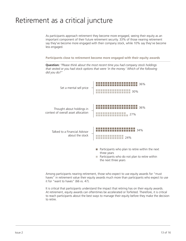# Retirement as a critical juncture

As participants approach retirement they become more engaged, seeing their equity as an important component of their future retirement security. 33% of those nearing retirement say they've become more engaged with their company stock, while 10% say they've become less engaged.

**Participants close to retirement become more engaged with their equity awards**



**Question:** *"Please think about the most recent time you had company stock holdings that vested or you had stock options that were 'in the money.' Which of the following did you do?"*

Among participants nearing retirement, those who expect to use equity awards for "must haves" in retirement value their equity awards much more than participants who expect to use it for "want to haves" (66 vs. 47).

It is critical that participants understand the impact that retiring has on their equity awards. At retirement, equity awards can oftentimes be accelerated or forfeited. Therefore, it is critical to reach participants about the best ways to manage their equity before they make the decision to retire.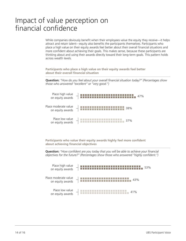# Impact of value perception on financial confidence

While companies obviously benefit when their employees value the equity they receive—it helps attract and retain talent—equity also benefits the participants themselves. Participants who place a high value on their equity awards feel better about their overall financial situations and more confident about achieving their goals. This makes sense, because these participants are thinking about and using their awards directly toward their long-term goals. This pattern holds across wealth levels.

**Participants who place a high value on their equity awards feel better about their overall financial situation**

**Question:** *"How do you feel about your overall financial situation today?" (Percentages show those who answered "excellent" or "very good.")*



**Participants who value their equity awards highly feel more confident about achieving financial objectives**

**Question:** *"How confident are you today that you will be able to achieve your financial objectives for the future?" (Percentages show those who answered "highly confident.")*

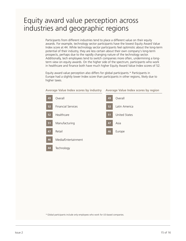## Equity award value perception across industries and geographic regions

Participants from different industries tend to place a different value on their equity awards. For example, technology sector participants have the lowest Equity Award Value Index score at 44. While technology sector participants feel optimistic about the long-term potential of their industry, they are less certain about their own company's long-term prospects, perhaps due to the rapidly changing nature of the technology sector. Additionally, tech employees tend to switch companies more often, undermining a longterm view on equity awards. On the higher side of the spectrum, participants who work in healthcare and finance both have much higher Equity Award Value Index scores of 52.

Equity award value perception also differs for global participants.\* Participants in Europe had a slightly lower Index score than participants in other regions, likely due to higher taxes.



\* Global participants include only employees who work for US-based companies.